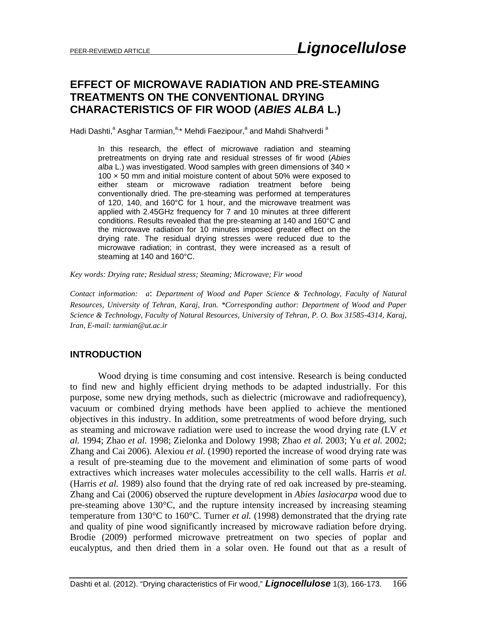# **EFFECT OF MICROWAVE RADIATION AND PRE-STEAMING TREATMENTS ON THE CONVENTIONAL DRYING CHARACTERISTICS OF FIR WOOD (***ABIES ALBA* **L.)**

Hadi Dashti,<sup>a</sup> Asghar Tarmian,<sup>a,\*</sup> Mehdi Faezipour,<sup>a</sup> and Mahdi Shahverdi <sup>a</sup>

In this research, the effect of microwave radiation and steaming pretreatments on drying rate and residual stresses of fir wood (*Abies*  alba L.) was investigated. Wood samples with green dimensions of 340 x 100 × 50 mm and initial moisture content of about 50% were exposed to either steam or microwave radiation treatment before being conventionally dried. The pre-steaming was performed at temperatures of 120, 140, and 160°C for 1 hour, and the microwave treatment was applied with 2.45GHz frequency for 7 and 10 minutes at three different conditions. Results revealed that the pre-steaming at 140 and 160°C and the microwave radiation for 10 minutes imposed greater effect on the drying rate. The residual drying stresses were reduced due to the microwave radiation; in contrast, they were increased as a result of steaming at 140 and 160°C.

*Key words: Drying rate; Residual stress; Steaming; Microwave; Fir wood* 

*Contact information: a*: *Department of Wood and Paper Science & Technology, Faculty of Natural Resources, University of Tehran, Karaj, Iran. \*Corresponding author: Department of Wood and Paper Science & Technology, Faculty of Natural Resources, University of Tehran, P. O. Box 31585-4314, Karaj, Iran, E-mail: tarmian@ut.ac.ir* 

### **INTRODUCTION**

Wood drying is time consuming and cost intensive. Research is being conducted to find new and highly efficient drying methods to be adapted industrially. For this purpose, some new drying methods, such as dielectric (microwave and radiofrequency), vacuum or combined drying methods have been applied to achieve the mentioned objectives in this industry. In addition, some pretreatments of wood before drying, such as steaming and microwave radiation were used to increase the wood drying rate (LV *et al.* 1994; Zhao *et al.* 1998; Zielonka and Dolowy 1998; Zhao *et al.* 2003; Yu *et al.* 2002; Zhang and Cai 2006). Alexiou *et al.* (1990) reported the increase of wood drying rate was a result of pre-steaming due to the movement and elimination of some parts of wood extractives which increases water molecules accessibility to the cell walls. Harris *et al.* (Harris *et al.* 1989) also found that the drying rate of red oak increased by pre-steaming. Zhang and Cai (2006) observed the rupture development in *Abies lasiocarpa* wood due to pre-steaming above 130°C, and the rupture intensity increased by increasing steaming temperature from 130 $\degree$ C to 160 $\degree$ C. Turner *et al.* (1998) demonstrated that the drying rate and quality of pine wood significantly increased by microwave radiation before drying. Brodie (2009) performed microwave pretreatment on two species of poplar and eucalyptus, and then dried them in a solar oven. He found out that as a result of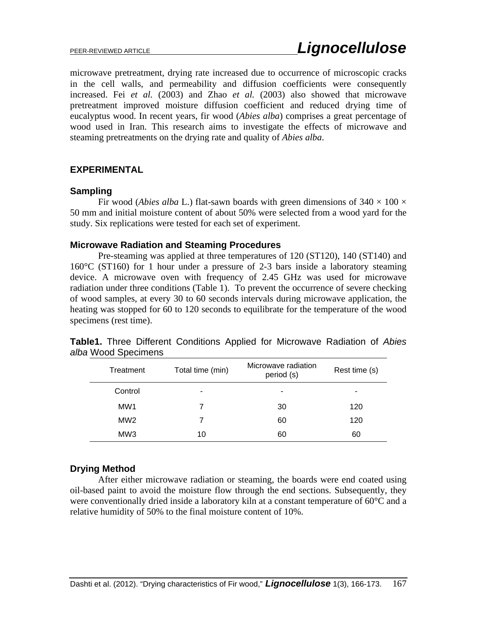microwave pretreatment, drying rate increased due to occurrence of microscopic cracks in the cell walls, and permeability and diffusion coefficients were consequently increased. Fei *et al.* (2003) and Zhao *et al.* (2003) also showed that microwave pretreatment improved moisture diffusion coefficient and reduced drying time of eucalyptus wood. In recent years, fir wood (*Abies alba*) comprises a great percentage of wood used in Iran. This research aims to investigate the effects of microwave and steaming pretreatments on the drying rate and quality of *Abies alba*.

## **EXPERIMENTAL**

## **Sampling**

Fir wood (*Abies alba* L.) flat-sawn boards with green dimensions of  $340 \times 100 \times$ 50 mm and initial moisture content of about 50% were selected from a wood yard for the study. Six replications were tested for each set of experiment.

### **Microwave Radiation and Steaming Procedures**

Pre-steaming was applied at three temperatures of 120 (ST120), 140 (ST140) and 160°C (ST160) for 1 hour under a pressure of 2-3 bars inside a laboratory steaming device. A microwave oven with frequency of 2.45 GHz was used for microwave radiation under three conditions (Table 1). To prevent the occurrence of severe checking of wood samples, at every 30 to 60 seconds intervals during microwave application, the heating was stopped for 60 to 120 seconds to equilibrate for the temperature of the wood specimens (rest time).

| Treatment       | Total time (min) | Microwave radiation<br>period (s) | Rest time (s) |  |
|-----------------|------------------|-----------------------------------|---------------|--|
| Control         | -                | -                                 | ۰             |  |
| MW <sub>1</sub> |                  | 30                                | 120           |  |
| MW <sub>2</sub> |                  | 60                                | 120           |  |
| MW <sub>3</sub> | 10               | 60                                | 60            |  |

**Table1.** Three Different Conditions Applied for Microwave Radiation of *Abies alba* Wood Specimens

## **Drying Method**

After either microwave radiation or steaming, the boards were end coated using oil-based paint to avoid the moisture flow through the end sections. Subsequently, they were conventionally dried inside a laboratory kiln at a constant temperature of 60°C and a relative humidity of 50% to the final moisture content of 10%.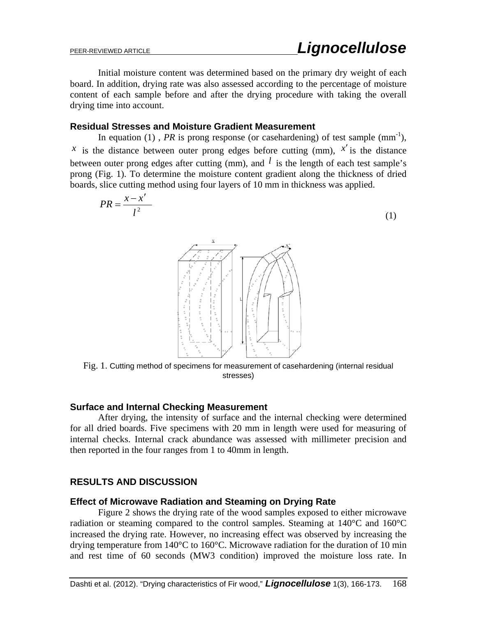Initial moisture content was determined based on the primary dry weight of each board. In addition, drying rate was also assessed according to the percentage of moisture content of each sample before and after the drying procedure with taking the overall drying time into account.

#### **Residual Stresses and Moisture Gradient Measurement**

In equation (1), *PR* is prong response (or casehardening) of test sample  $(mm^{-1})$ , *x* is the distance between outer prong edges before cutting (mm),  $x'$  is the distance between outer prong edges after cutting (mm), and  $l$  is the length of each test sample's prong (Fig. 1). To determine the moisture content gradient along the thickness of dried boards, slice cutting method using four layers of 10 mm in thickness was applied.

$$
PR = \frac{x - x'}{l^2}
$$
 (1)  
\n
$$
\frac{x}{l^{\frac{n}{2} - \frac{n}{2} - \frac{n}{2}}}
$$
  
\n
$$
\frac{x}{l^{\frac{n}{2} - \frac{n}{2} - \frac{n}{2}}}
$$
  
\n
$$
\frac{x}{l^{\frac{n}{2} - \frac{n}{2} - \frac{n}{2}}}
$$
  
\n
$$
\frac{x}{l^{\frac{n}{2} - \frac{n}{2} - \frac{n}{2}}}
$$
  
\n
$$
\frac{x}{l^{\frac{n}{2} - \frac{n}{2} - \frac{n}{2}}}
$$
  
\n
$$
\frac{x}{l^{\frac{n}{2} - \frac{n}{2} - \frac{n}{2}}}
$$
  
\n
$$
\frac{x}{l^{\frac{n}{2} - \frac{n}{2} - \frac{n}{2}}}
$$
  
\n
$$
\frac{x}{l^{\frac{n}{2} - \frac{n}{2}}}
$$
  
\n
$$
\frac{x}{l^{\frac{n}{2} - \frac{n}{2}}}
$$
  
\n
$$
\frac{x}{l^{\frac{n}{2} - \frac{n}{2}}}
$$
  
\n
$$
\frac{x}{l^{\frac{n}{2} - \frac{n}{2}}}
$$
  
\n
$$
\frac{x}{l^{\frac{n}{2} - \frac{n}{2}}}
$$

Fig. 1. Cutting method of specimens for measurement of casehardening (internal residual stresses)

### **Surface and Internal Checking Measurement**

After drying, the intensity of surface and the internal checking were determined for all dried boards. Five specimens with 20 mm in length were used for measuring of internal checks. Internal crack abundance was assessed with millimeter precision and then reported in the four ranges from 1 to 40mm in length.

### **RESULTS AND DISCUSSION**

### **Effect of Microwave Radiation and Steaming on Drying Rate**

Figure 2 shows the drying rate of the wood samples exposed to either microwave radiation or steaming compared to the control samples. Steaming at 140°C and 160°C increased the drying rate. However, no increasing effect was observed by increasing the drying temperature from 140°C to 160°C. Microwave radiation for the duration of 10 min and rest time of 60 seconds (MW3 condition) improved the moisture loss rate. In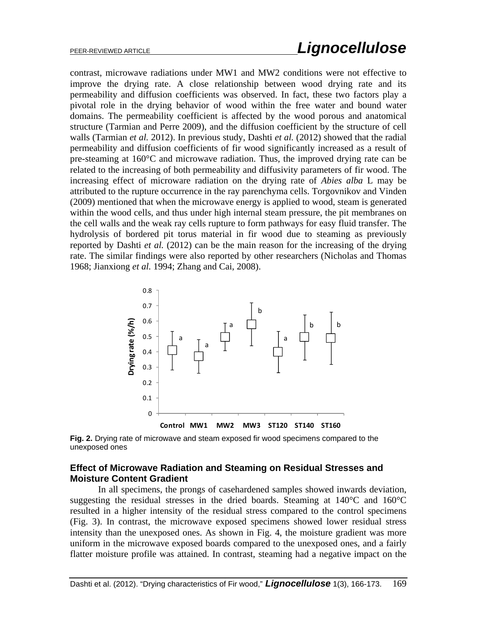contrast, microwave radiations under MW1 and MW2 conditions were not effective to improve the drying rate. A close relationship between wood drying rate and its permeability and diffusion coefficients was observed. In fact, these two factors play a pivotal role in the drying behavior of wood within the free water and bound water domains. The permeability coefficient is affected by the wood porous and anatomical structure (Tarmian and Perre 2009), and the diffusion coefficient by the structure of cell walls (Tarmian *et al.* 2012). In previous study, Dashti *et al.* (2012) showed that the radial permeability and diffusion coefficients of fir wood significantly increased as a result of pre-steaming at 160°C and microwave radiation. Thus, the improved drying rate can be related to the increasing of both permeability and diffusivity parameters of fir wood. The increasing effect of microware radiation on the drying rate of *Abies alba* L may be attributed to the rupture occurrence in the ray parenchyma cells. Torgovnikov and Vinden (2009) mentioned that when the microwave energy is applied to wood, steam is generated within the wood cells, and thus under high internal steam pressure, the pit membranes on the cell walls and the weak ray cells rupture to form pathways for easy fluid transfer. The hydrolysis of bordered pit torus material in fir wood due to steaming as previously reported by Dashti *et al.* (2012) can be the main reason for the increasing of the drying rate. The similar findings were also reported by other researchers (Nicholas and Thomas 1968; Jianxiong *et al.* 1994; Zhang and Cai, 2008).



**Fig. 2.** Drying rate of microwave and steam exposed fir wood specimens compared to the unexposed ones

## **Effect of Microwave Radiation and Steaming on Residual Stresses and Moisture Content Gradient**

In all specimens, the prongs of casehardened samples showed inwards deviation, suggesting the residual stresses in the dried boards. Steaming at 140°C and 160°C resulted in a higher intensity of the residual stress compared to the control specimens (Fig. 3). In contrast, the microwave exposed specimens showed lower residual stress intensity than the unexposed ones. As shown in Fig. 4, the moisture gradient was more uniform in the microwave exposed boards compared to the unexposed ones, and a fairly flatter moisture profile was attained. In contrast, steaming had a negative impact on the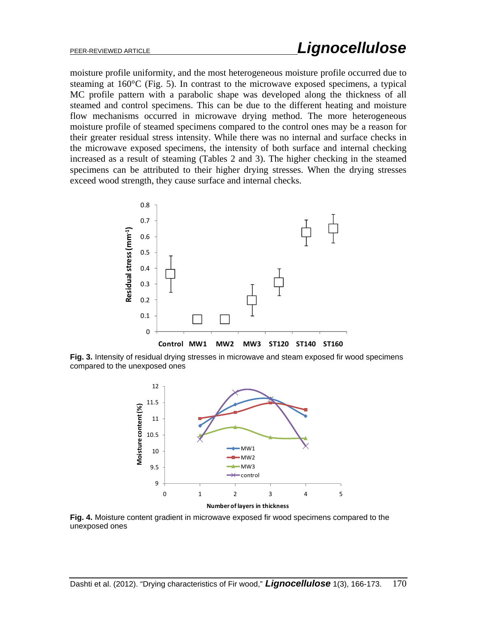moisture profile uniformity, and the most heterogeneous moisture profile occurred due to steaming at 160°C (Fig. 5). In contrast to the microwave exposed specimens, a typical MC profile pattern with a parabolic shape was developed along the thickness of all steamed and control specimens. This can be due to the different heating and moisture flow mechanisms occurred in microwave drying method. The more heterogeneous moisture profile of steamed specimens compared to the control ones may be a reason for their greater residual stress intensity. While there was no internal and surface checks in the microwave exposed specimens, the intensity of both surface and internal checking increased as a result of steaming (Tables 2 and 3). The higher checking in the steamed specimens can be attributed to their higher drying stresses. When the drying stresses exceed wood strength, they cause surface and internal checks.



**Fig. 3.** Intensity of residual drying stresses in microwave and steam exposed fir wood specimens compared to the unexposed ones



**Number of layers in thickness**

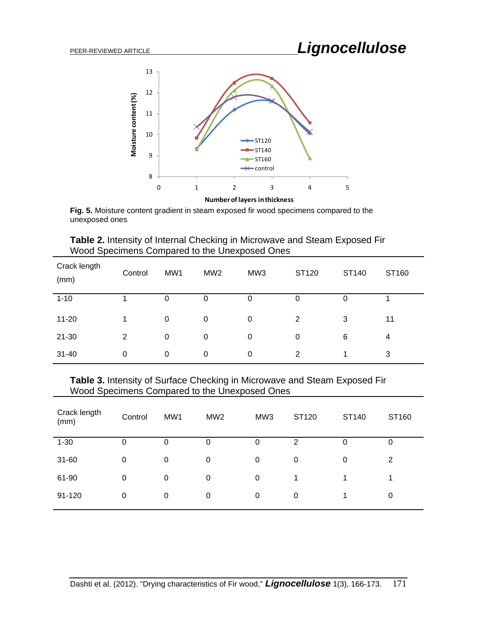

**Numberoflayers inthickness**

**Fig. 5.** Moisture content gradient in steam exposed fir wood specimens compared to the unexposed ones

| Table 2. Intensity of Internal Checking in Microwave and Steam Exposed Fir |  |
|----------------------------------------------------------------------------|--|
| Wood Specimens Compared to the Unexposed Ones                              |  |

| Crack length<br>(mm) | Control     | MW1 | MW <sub>2</sub> | MW3 | ST120          | ST140 | ST160 |
|----------------------|-------------|-----|-----------------|-----|----------------|-------|-------|
| $1 - 10$             |             | 0   | 0               | 0   | 0              | 0     |       |
| $11 - 20$            |             | 0   | 0               | 0   | $\overline{2}$ | 3     | 11    |
| $21 - 30$            | 2           | 0   | $\mathbf 0$     | 0   | 0              | 6     | 4     |
| $31 - 40$            | $\mathbf 0$ | 0   | 0               | 0   | $\overline{2}$ | и     | 3     |

**Table 3.** Intensity of Surface Checking in Microwave and Steam Exposed Fir Wood Specimens Compared to the Unexposed Ones

| Crack length<br>(mm) | Control     | MW1 | MW <sub>2</sub> | MW3 | ST120 | ST140    | ST160 |
|----------------------|-------------|-----|-----------------|-----|-------|----------|-------|
| $1 - 30$             | 0           | O   | O               | O   | 2     | U        | 0     |
| 31-60                | 0           | 0   | 0               | 0   | 0     | $\Omega$ | 2     |
| 61-90                | $\mathbf 0$ | 0   | 0               | 0   | 1     |          |       |
| 91-120               | 0           | 0   | 0               | 0   | 0     |          | 0     |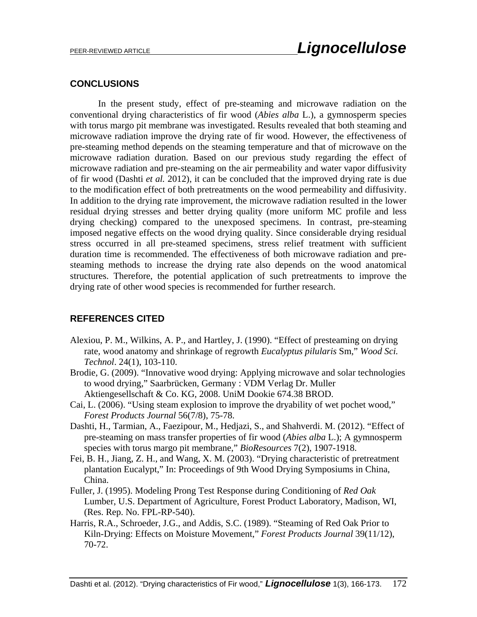## **CONCLUSIONS**

In the present study, effect of pre-steaming and microwave radiation on the conventional drying characteristics of fir wood (*Abies alba* L.), a gymnosperm species with torus margo pit membrane was investigated. Results revealed that both steaming and microwave radiation improve the drying rate of fir wood. However, the effectiveness of pre-steaming method depends on the steaming temperature and that of microwave on the microwave radiation duration. Based on our previous study regarding the effect of microwave radiation and pre-steaming on the air permeability and water vapor diffusivity of fir wood (Dashti *et al.* 2012), it can be concluded that the improved drying rate is due to the modification effect of both pretreatments on the wood permeability and diffusivity. In addition to the drying rate improvement, the microwave radiation resulted in the lower residual drying stresses and better drying quality (more uniform MC profile and less drying checking) compared to the unexposed specimens. In contrast, pre-steaming imposed negative effects on the wood drying quality. Since considerable drying residual stress occurred in all pre-steamed specimens, stress relief treatment with sufficient duration time is recommended. The effectiveness of both microwave radiation and presteaming methods to increase the drying rate also depends on the wood anatomical structures. Therefore, the potential application of such pretreatments to improve the drying rate of other wood species is recommended for further research.

## **REFERENCES CITED**

- Alexiou, P. M., Wilkins, A. P., and Hartley, J. (1990). "Effect of presteaming on drying rate, wood anatomy and shrinkage of regrowth *Eucalyptus pilularis* Sm," *Wood Sci. Technol*. 24(1), 103-110.
- Brodie, G. (2009). "Innovative wood drying: Applying microwave and solar technologies to wood drying," Saarbrücken, Germany : VDM Verlag Dr. Muller Aktiengesellschaft & Co. KG, 2008. UniM Dookie 674.38 BROD.
- Cai, L. (2006). "Using steam explosion to improve the dryability of wet pochet wood," *Forest Products Journal* 56(7/8), 75-78.
- Dashti, H., Tarmian, A., Faezipour, M., Hedjazi, S., and Shahverdi. M. (2012). "Effect of pre-steaming on mass transfer properties of fir wood (*Abies alba* L.); A gymnosperm species with torus margo pit membrane," *BioResources* 7(2), 1907-1918.
- Fei, B. H., Jiang, Z. H., and Wang, X. M. (2003). "Drying characteristic of pretreatment plantation Eucalypt," In: Proceedings of 9th Wood Drying Symposiums in China, China.
- Fuller, J. (1995). Modeling Prong Test Response during Conditioning of *Red Oak*  Lumber, U.S. Department of Agriculture, Forest Product Laboratory, Madison, WI, (Res. Rep. No. FPL-RP-540).
- Harris, R.A., Schroeder, J.G., and Addis, S.C. (1989). "Steaming of Red Oak Prior to Kiln-Drying: Effects on Moisture Movement," *Forest Products Journal* 39(11/12), 70-72.